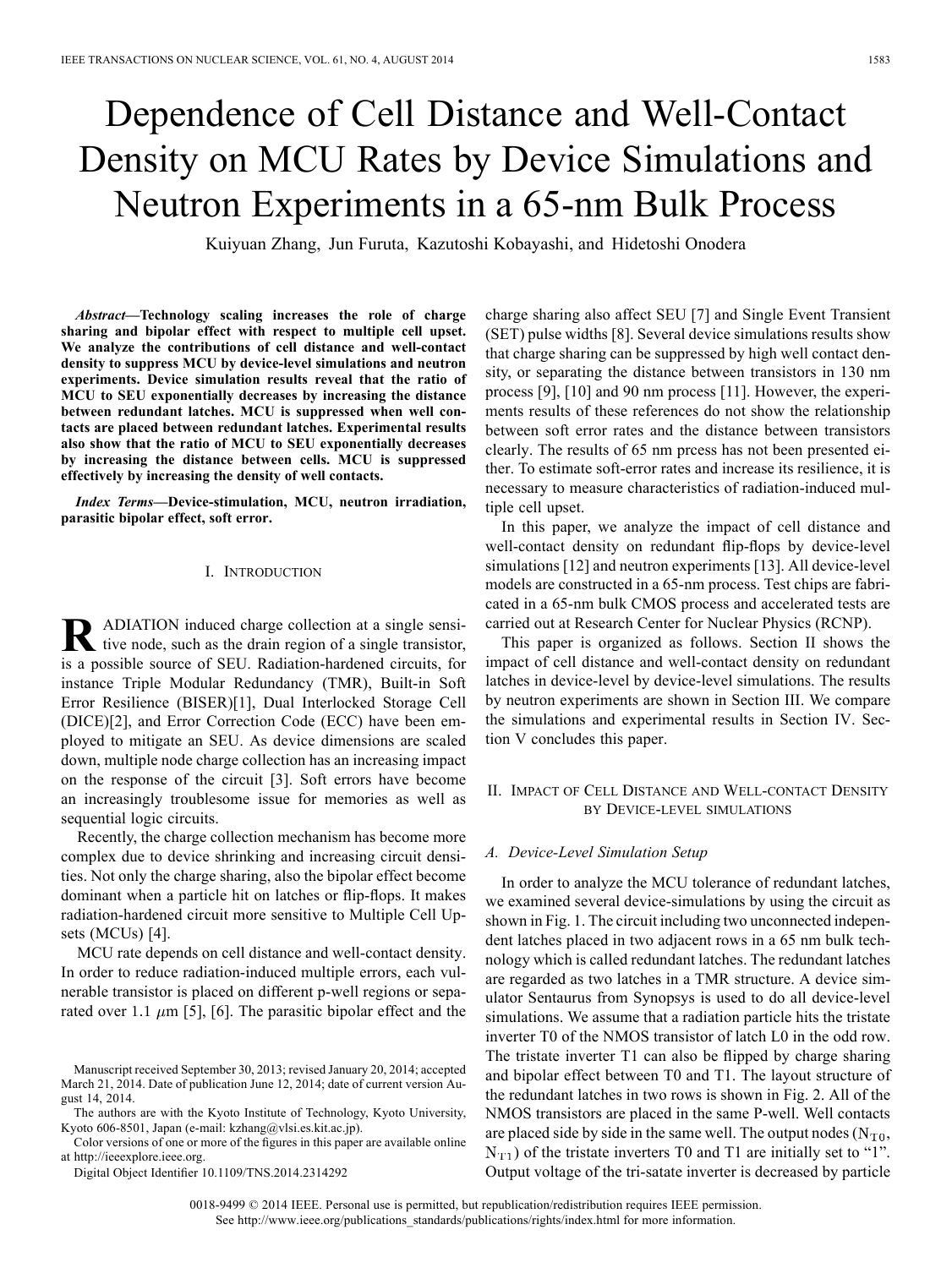# Dependence of Cell Distance and Well-Contact Density on MCU Rates by Device Simulations and Neutron Experiments in a 65-nm Bulk Process

Kuiyuan Zhang, Jun Furuta, Kazutoshi Kobayashi, and Hidetoshi Onodera

*Abstract—***Technology scaling increases the role of charge sharing and bipolar effect with respect to multiple cell upset. We analyze the contributions of cell distance and well-contact density to suppress MCU by device-level simulations and neutron experiments. Device simulation results reveal that the ratio of MCU to SEU exponentially decreases by increasing the distance between redundant latches. MCU is suppressed when well contacts are placed between redundant latches. Experimental results also show that the ratio of MCU to SEU exponentially decreases by increasing the distance between cells. MCU is suppressed effectively by increasing the density of well contacts.**

*Index Terms—***Device-stimulation, MCU, neutron irradiation, parasitic bipolar effect, soft error.**

### I. INTRODUCTION

**R** ADIATION induced charge collection at a single sensi-<br>tive node, such as the drain region of a single transistor, is a possible source of SEU. Radiation-hardened circuits, for instance Triple Modular Redundancy (TMR), Built-in Soft Error Resilience (BISER)[1], Dual Interlocked Storage Cell (DICE)[2], and Error Correction Code (ECC) have been employed to mitigate an SEU. As device dimensions are scaled down, multiple node charge collection has an increasing impact on the response of the circuit [3]. Soft errors have become an increasingly troublesome issue for memories as well as sequential logic circuits.

Recently, the charge collection mechanism has become more complex due to device shrinking and increasing circuit densities. Not only the charge sharing, also the bipolar effect become dominant when a particle hit on latches or flip-flops. It makes radiation-hardened circuit more sensitive to Multiple Cell Upsets (MCUs) [4].

MCU rate depends on cell distance and well-contact density. In order to reduce radiation-induced multiple errors, each vulnerable transistor is placed on different p-well regions or separated over 1.1  $\mu$ m [5], [6]. The parasitic bipolar effect and the

Color versions of one or more of the figures in this paper are available online at http://ieeexplore.ieee.org.

Digital Object Identifier 10.1109/TNS.2014.2314292

charge sharing also affect SEU [7] and Single Event Transient (SET) pulse widths [8]. Several device simulations results show that charge sharing can be suppressed by high well contact density, or separating the distance between transistors in 130 nm process [9], [10] and 90 nm process [11]. However, the experiments results of these references do not show the relationship between soft error rates and the distance between transistors clearly. The results of 65 nm prcess has not been presented either. To estimate soft-error rates and increase its resilience, it is necessary to measure characteristics of radiation-induced multiple cell upset.

In this paper, we analyze the impact of cell distance and well-contact density on redundant flip-flops by device-level simulations [12] and neutron experiments [13]. All device-level models are constructed in a 65-nm process. Test chips are fabricated in a 65-nm bulk CMOS process and accelerated tests are carried out at Research Center for Nuclear Physics (RCNP).

This paper is organized as follows. Section II shows the impact of cell distance and well-contact density on redundant latches in device-level by device-level simulations. The results by neutron experiments are shown in Section III. We compare the simulations and experimental results in Section IV. Section V concludes this paper.

# II. IMPACT OF CELL DISTANCE AND WELL-CONTACT DENSITY BY DEVICE-LEVEL SIMULATIONS

#### *A. Device-Level Simulation Setup*

In order to analyze the MCU tolerance of redundant latches, we examined several device-simulations by using the circuit as shown in Fig. 1. The circuit including two unconnected independent latches placed in two adjacent rows in a 65 nm bulk technology which is called redundant latches. The redundant latches are regarded as two latches in a TMR structure. A device simulator Sentaurus from Synopsys is used to do all device-level simulations. We assume that a radiation particle hits the tristate inverter T0 of the NMOS transistor of latch L0 in the odd row. The tristate inverter T1 can also be flipped by charge sharing and bipolar effect between T0 and T1. The layout structure of the redundant latches in two rows is shown in Fig. 2. All of the NMOS transistors are placed in the same P-well. Well contacts are placed side by side in the same well. The output nodes  $(N_{T0},$  $N_{\text{T1}}$ ) of the tristate inverters T0 and T1 are initially set to "1". Output voltage of the tri-satate inverter is decreased by particle

Manuscript received September 30, 2013; revised January 20, 2014; accepted March 21, 2014. Date of publication June 12, 2014; date of current version August 14, 2014.

The authors are with the Kyoto Institute of Technology, Kyoto University, Kyoto 606-8501, Japan (e-mail: kzhang@vlsi.es.kit.ac.jp).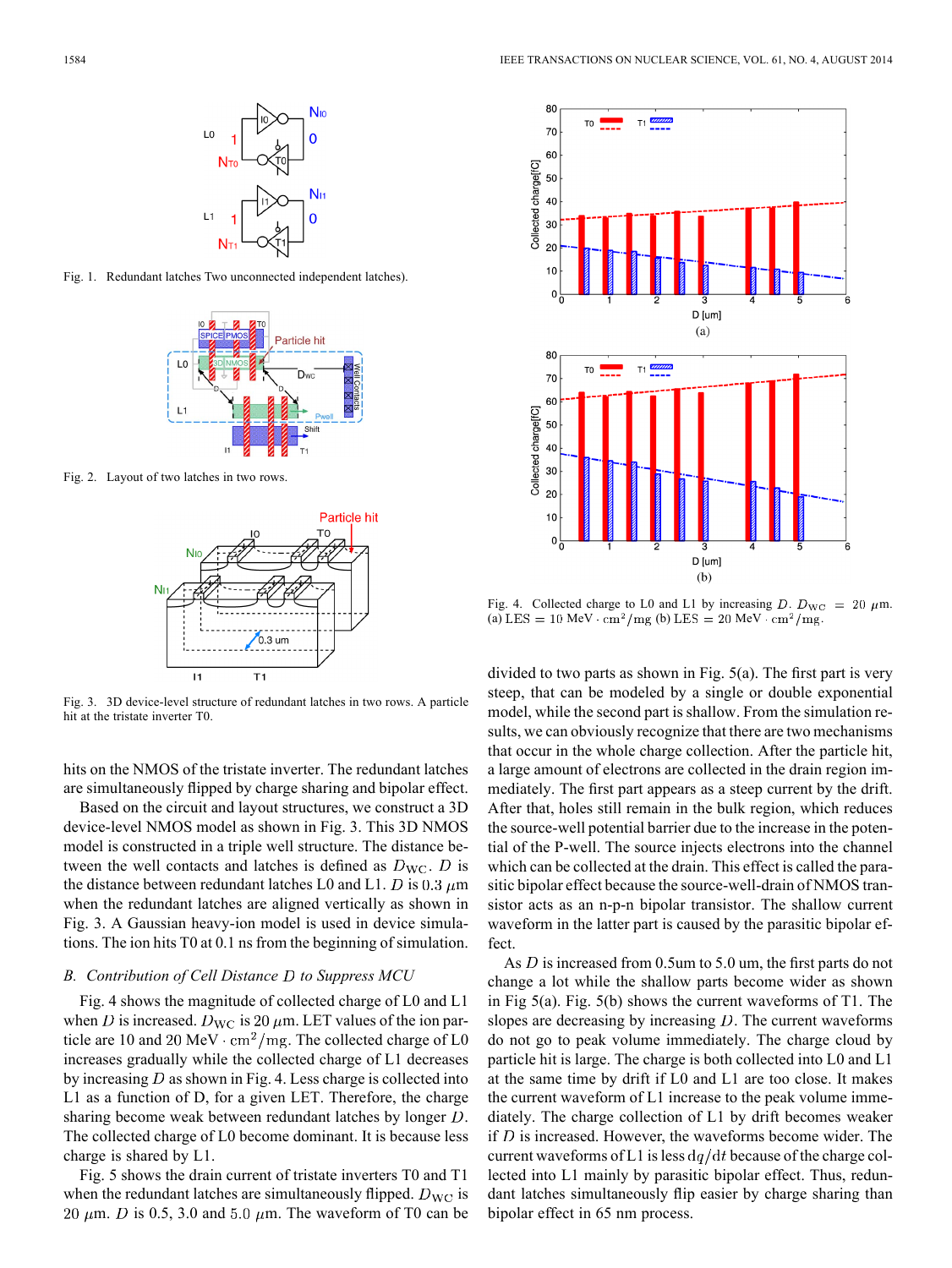

Fig. 1. Redundant latches Two unconnected independent latches).



Fig. 2. Layout of two latches in two rows.



Fig. 3. 3D device-level structure of redundant latches in two rows. A particle hit at the tristate inverter T0.

hits on the NMOS of the tristate inverter. The redundant latches are simultaneously flipped by charge sharing and bipolar effect.

Based on the circuit and layout structures, we construct a 3D device-level NMOS model as shown in Fig. 3. This 3D NMOS model is constructed in a triple well structure. The distance between the well contacts and latches is defined as  $D_{\text{WC}}$ . D is the distance between redundant latches L0 and L1. D is 0.3  $\mu$ m when the redundant latches are aligned vertically as shown in Fig. 3. A Gaussian heavy-ion model is used in device simulations. The ion hits T0 at 0.1 ns from the beginning of simulation.

## *B. Contribution of Cell Distance to Suppress MCU*

Fig. 4 shows the magnitude of collected charge of L0 and L1 when D is increased.  $D_{\text{WC}}$  is 20  $\mu$ m. LET values of the ion particle are 10 and 20 MeV  $\cdot$  cm<sup>2</sup>/mg. The collected charge of L0 increases gradually while the collected charge of L1 decreases by increasing  $D$  as shown in Fig. 4. Less charge is collected into L1 as a function of D, for a given LET. Therefore, the charge sharing become weak between redundant latches by longer  $D$ . The collected charge of L0 become dominant. It is because less charge is shared by L1.

Fig. 5 shows the drain current of tristate inverters T0 and T1 when the redundant latches are simultaneously flipped.  $D_{\text{WC}}$  is 20  $\mu$ m. *D* is 0.5, 3.0 and 5.0  $\mu$ m. The waveform of T0 can be



Fig. 4. Collected charge to L0 and L1 by increasing D.  $D_{\text{WC}} = 20 \ \mu \text{m}$ . (a) LES = 10 MeV  $\cdot$  cm<sup>2</sup>/mg (b) LES = 20 MeV  $\cdot$  cm<sup>2</sup>/mg.

divided to two parts as shown in Fig. 5(a). The first part is very steep, that can be modeled by a single or double exponential model, while the second part is shallow. From the simulation results, we can obviously recognize that there are two mechanisms that occur in the whole charge collection. After the particle hit, a large amount of electrons are collected in the drain region immediately. The first part appears as a steep current by the drift. After that, holes still remain in the bulk region, which reduces the source-well potential barrier due to the increase in the potential of the P-well. The source injects electrons into the channel which can be collected at the drain. This effect is called the parasitic bipolar effect because the source-well-drain of NMOS transistor acts as an n-p-n bipolar transistor. The shallow current waveform in the latter part is caused by the parasitic bipolar effect.

As D is increased from 0.5um to 5.0 um, the first parts do not change a lot while the shallow parts become wider as shown in Fig 5(a). Fig. 5(b) shows the current waveforms of T1. The slopes are decreasing by increasing  $D$ . The current waveforms do not go to peak volume immediately. The charge cloud by particle hit is large. The charge is both collected into L0 and L1 at the same time by drift if L0 and L1 are too close. It makes the current waveform of L1 increase to the peak volume immediately. The charge collection of L1 by drift becomes weaker if  $D$  is increased. However, the waveforms become wider. The current waveforms of L1 is less  $dq/dt$  because of the charge collected into L1 mainly by parasitic bipolar effect. Thus, redundant latches simultaneously flip easier by charge sharing than bipolar effect in 65 nm process.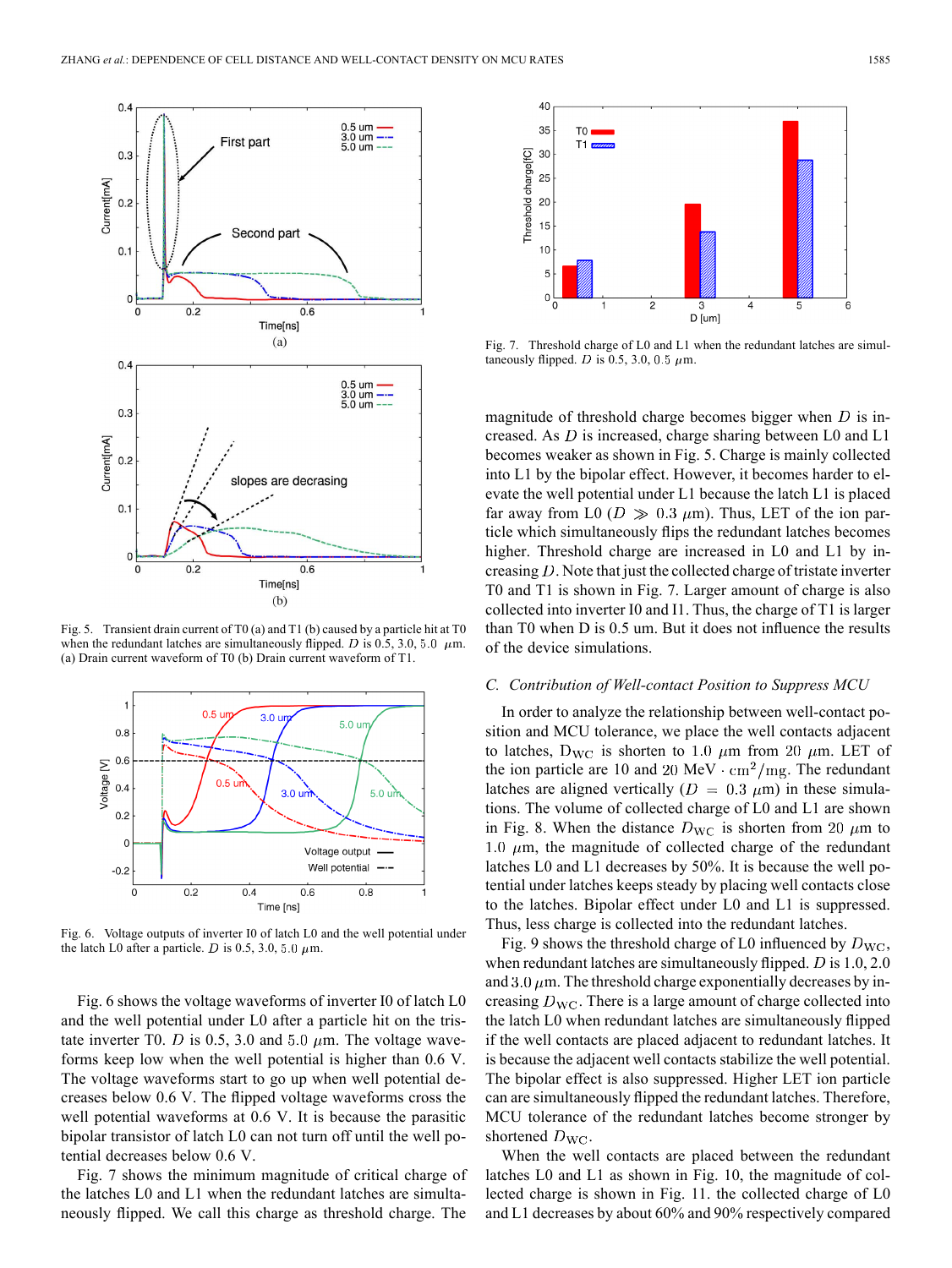

Fig. 5. Transient drain current of T0 (a) and T1 (b) caused by a particle hit at T0 when the redundant latches are simultaneously flipped. D is 0.5, 3.0, 5.0  $\mu$ m. (a) Drain current waveform of T0 (b) Drain current waveform of T1.



Fig. 6. Voltage outputs of inverter I0 of latch L0 and the well potential under the latch L0 after a particle. D is 0.5, 3.0, 5.0  $\mu$ m.

Fig. 6 shows the voltage waveforms of inverter I0 of latch L0 and the well potential under L0 after a particle hit on the tristate inverter T0. D is 0.5, 3.0 and 5.0  $\mu$ m. The voltage waveforms keep low when the well potential is higher than 0.6 V. The voltage waveforms start to go up when well potential decreases below 0.6 V. The flipped voltage waveforms cross the well potential waveforms at 0.6 V. It is because the parasitic bipolar transistor of latch L0 can not turn off until the well potential decreases below 0.6 V.

Fig. 7 shows the minimum magnitude of critical charge of the latches L0 and L1 when the redundant latches are simultaneously flipped. We call this charge as threshold charge. The



Fig. 7. Threshold charge of L0 and L1 when the redundant latches are simultaneously flipped. D is 0.5, 3.0, 0.5  $\mu$ m.

magnitude of threshold charge becomes bigger when  $D$  is increased. As  $D$  is increased, charge sharing between L0 and L1 becomes weaker as shown in Fig. 5. Charge is mainly collected into L1 by the bipolar effect. However, it becomes harder to elevate the well potential under L1 because the latch L1 is placed far away from L0 ( $D \gg 0.3 \mu$ m). Thus, LET of the ion particle which simultaneously flips the redundant latches becomes higher. Threshold charge are increased in L0 and L1 by increasing  $D$ . Note that just the collected charge of tristate inverter T0 and T1 is shown in Fig. 7. Larger amount of charge is also collected into inverter I0 and I1. Thus, the charge of T1 is larger than T0 when D is 0.5 um. But it does not influence the results of the device simulations.

## *C. Contribution of Well-contact Position to Suppress MCU*

In order to analyze the relationship between well-contact position and MCU tolerance, we place the well contacts adjacent to latches,  $D_{\text{WC}}$  is shorten to 1.0  $\mu$ m from 20  $\mu$ m. LET of the ion particle are 10 and 20 MeV  $\cdot$  cm<sup>2</sup>/mg. The redundant latches are aligned vertically ( $D = 0.3 \mu m$ ) in these simulations. The volume of collected charge of L0 and L1 are shown in Fig. 8. When the distance  $D_{\text{WC}}$  is shorten from 20  $\mu$ m to 1.0  $\mu$ m, the magnitude of collected charge of the redundant latches L0 and L1 decreases by 50%. It is because the well potential under latches keeps steady by placing well contacts close to the latches. Bipolar effect under L0 and L1 is suppressed. Thus, less charge is collected into the redundant latches.

Fig. 9 shows the threshold charge of L0 influenced by  $D_{\text{WC}}$ , when redundant latches are simultaneously flipped.  $D$  is 1.0, 2.0 and 3.0  $\mu$ m. The threshold charge exponentially decreases by increasing  $D_{\text{WC}}$ . There is a large amount of charge collected into the latch L0 when redundant latches are simultaneously flipped if the well contacts are placed adjacent to redundant latches. It is because the adjacent well contacts stabilize the well potential. The bipolar effect is also suppressed. Higher LET ion particle can are simultaneously flipped the redundant latches. Therefore, MCU tolerance of the redundant latches become stronger by shortened  $D_{\text{WC}}$ .

When the well contacts are placed between the redundant latches L0 and L1 as shown in Fig. 10, the magnitude of collected charge is shown in Fig. 11. the collected charge of L0 and L1 decreases by about 60% and 90% respectively compared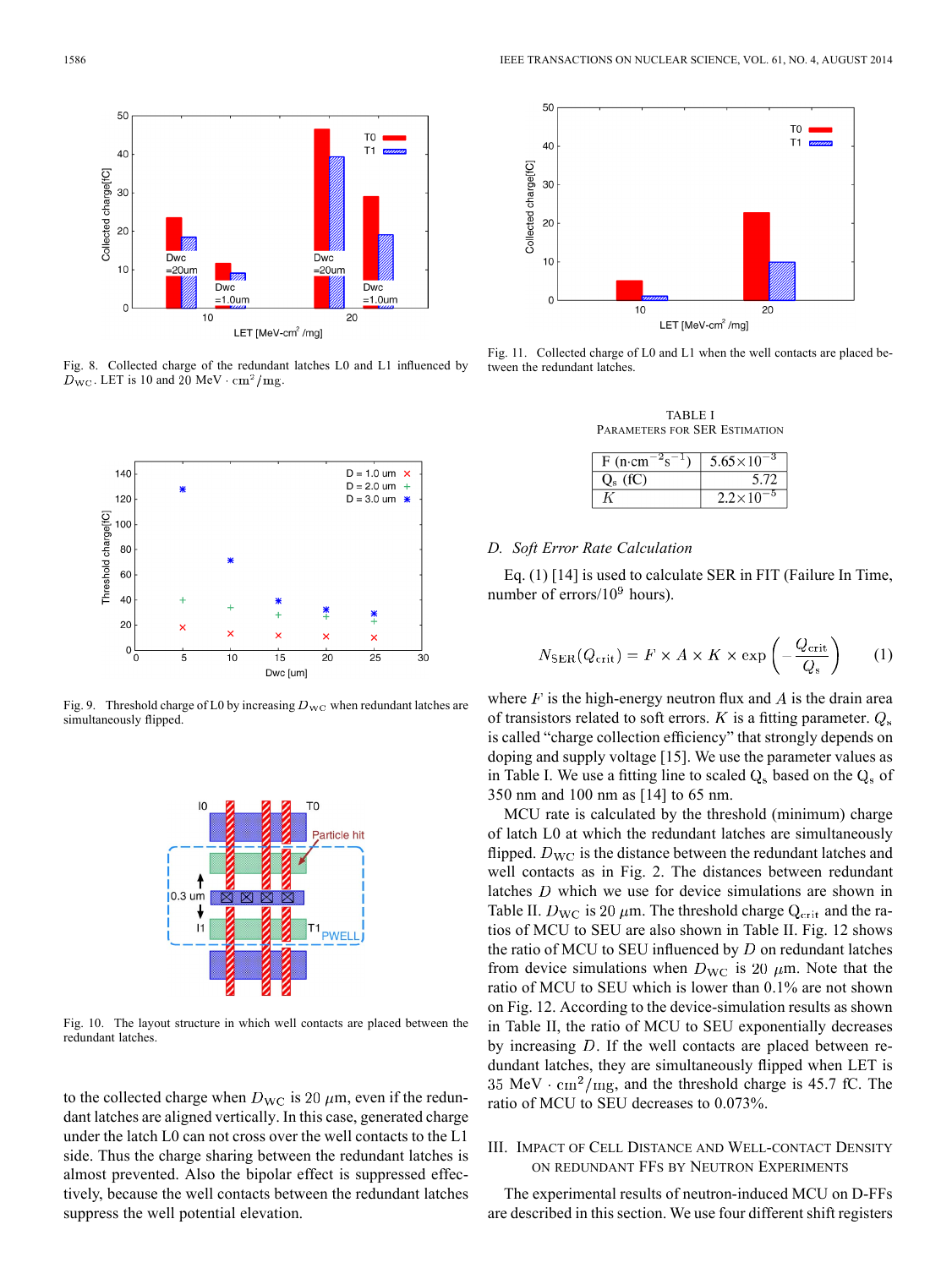

Fig. 8. Collected charge of the redundant latches L0 and L1 influenced by  $\overline{D}_{\text{WC}}$ . LET is 10 and 20 MeV  $\cdot$  cm<sup>2</sup>/mg.



Fig. 9. Threshold charge of L0 by increasing  $D_{\text{WC}}$  when redundant latches are simultaneously flipped.



Fig. 10. The layout structure in which well contacts are placed between the redundant latches.

to the collected charge when  $D_{\text{WC}}$  is 20  $\mu$ m, even if the redundant latches are aligned vertically. In this case, generated charge under the latch L0 can not cross over the well contacts to the L1 side. Thus the charge sharing between the redundant latches is almost prevented. Also the bipolar effect is suppressed effectively, because the well contacts between the redundant latches suppress the well potential elevation.



Fig. 11. Collected charge of L0 and L1 when the well contacts are placed between the redundant latches.

TABLE I PARAMETERS FOR SER ESTIMATION

| $F$ (n·cm) | $5.65 \times 10$ |
|------------|------------------|
|            |                  |
|            | $2.2 \times 10$  |

#### *D. Soft Error Rate Calculation*

j

Eq. (1) [14] is used to calculate SER in FIT (Failure In Time, number of errors/ $10<sup>9</sup>$  hours).

$$
V_{\text{SER}}(Q_{\text{crit}}) = F \times A \times K \times \exp\left(-\frac{Q_{\text{crit}}}{Q_s}\right) \tag{1}
$$

where  $F$  is the high-energy neutron flux and  $A$  is the drain area of transistors related to soft errors.  $K$  is a fitting parameter.  $Q_s$ is called "charge collection efficiency" that strongly depends on doping and supply voltage [15]. We use the parameter values as in Table I. We use a fitting line to scaled  $Q_s$  based on the  $Q_s$  of 350 nm and 100 nm as [14] to 65 nm.

MCU rate is calculated by the threshold (minimum) charge of latch L0 at which the redundant latches are simultaneously flipped.  $D_{\text{WC}}$  is the distance between the redundant latches and well contacts as in Fig. 2. The distances between redundant latches  $D$  which we use for device simulations are shown in Table II.  $D_{\text{WC}}$  is 20  $\mu$ m. The threshold charge  $Q_{\text{crit}}$  and the ratios of MCU to SEU are also shown in Table II. Fig. 12 shows the ratio of MCU to SEU influenced by  $D$  on redundant latches from device simulations when  $D_{\text{WC}}$  is 20  $\mu$ m. Note that the ratio of MCU to SEU which is lower than 0.1% are not shown on Fig. 12. According to the device-simulation results as shown in Table II, the ratio of MCU to SEU exponentially decreases by increasing  $D$ . If the well contacts are placed between redundant latches, they are simultaneously flipped when LET is 35 MeV  $\cdot$  cm<sup>2</sup>/mg, and the threshold charge is 45.7 fC. The ratio of MCU to SEU decreases to 0.073%.

## III. IMPACT OF CELL DISTANCE AND WELL-CONTACT DENSITY ON REDUNDANT FFS BY NEUTRON EXPERIMENTS

The experimental results of neutron-induced MCU on D-FFs are described in this section. We use four different shift registers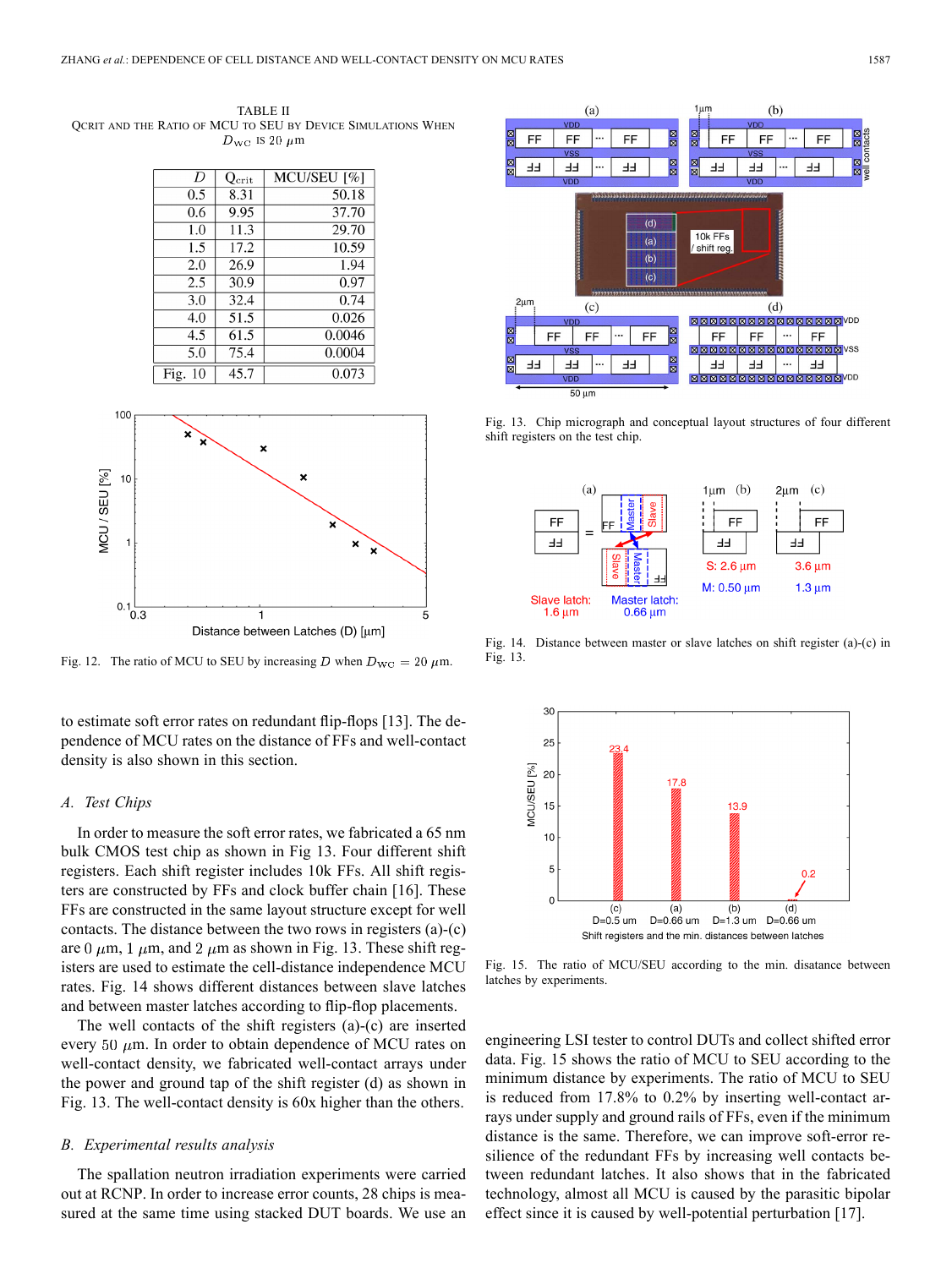TABLE II QCRIT AND THE RATIO OF MCU TO SEU BY DEVICE SIMULATIONS WHEN  $D_{\text{WC}}$  is 20  $\mu$ m

| $\overline{D}$ | $Q_{\rm crit}$ | MCU/SEU <sup>[%]</sup> |
|----------------|----------------|------------------------|
| 0.5            | 8.31           | 50.18                  |
| 0.6            | 9.95           | 37.70                  |
| 1.0            | 11.3           | 29.70                  |
| 1.5            | 17.2           | 10.59                  |
| 2.0            | 26.9           | 1.94                   |
| 2.5            | 30.9           | 0.97                   |
| 3.0            | 32.4           | 0.74                   |
| 4.0            | 51.5           | 0.026                  |
| 4.5            | 61.5           | 0.0046                 |
| 5.0            | 75.4           | 0.0004                 |
| Fig.<br>10     | 45.7           | 0.073                  |



Fig. 12. The ratio of MCU to SEU by increasing D when  $D_{\text{WC}} = 20 \,\mu\text{m}$ .

to estimate soft error rates on redundant flip-flops [13]. The dependence of MCU rates on the distance of FFs and well-contact density is also shown in this section.

#### *A. Test Chips*

In order to measure the soft error rates, we fabricated a 65 nm bulk CMOS test chip as shown in Fig 13. Four different shift registers. Each shift register includes 10k FFs. All shift registers are constructed by FFs and clock buffer chain [16]. These FFs are constructed in the same layout structure except for well contacts. The distance between the two rows in registers (a)-(c) are 0  $\mu$ m, 1  $\mu$ m, and 2  $\mu$ m as shown in Fig. 13. These shift registers are used to estimate the cell-distance independence MCU rates. Fig. 14 shows different distances between slave latches and between master latches according to flip-flop placements.

The well contacts of the shift registers (a)-(c) are inserted every 50  $\mu$ m. In order to obtain dependence of MCU rates on well-contact density, we fabricated well-contact arrays under the power and ground tap of the shift register (d) as shown in Fig. 13. The well-contact density is 60x higher than the others.

## *B. Experimental results analysis*

The spallation neutron irradiation experiments were carried out at RCNP. In order to increase error counts, 28 chips is measured at the same time using stacked DUT boards. We use an



Fig. 13. Chip micrograph and conceptual layout structures of four different shift registers on the test chip.



Fig. 14. Distance between master or slave latches on shift register (a)-(c) in Fig. 13.



Fig. 15. The ratio of MCU/SEU according to the min. disatance between latches by experiments.

engineering LSI tester to control DUTs and collect shifted error data. Fig. 15 shows the ratio of MCU to SEU according to the minimum distance by experiments. The ratio of MCU to SEU is reduced from 17.8% to 0.2% by inserting well-contact arrays under supply and ground rails of FFs, even if the minimum distance is the same. Therefore, we can improve soft-error resilience of the redundant FFs by increasing well contacts between redundant latches. It also shows that in the fabricated technology, almost all MCU is caused by the parasitic bipolar effect since it is caused by well-potential perturbation [17].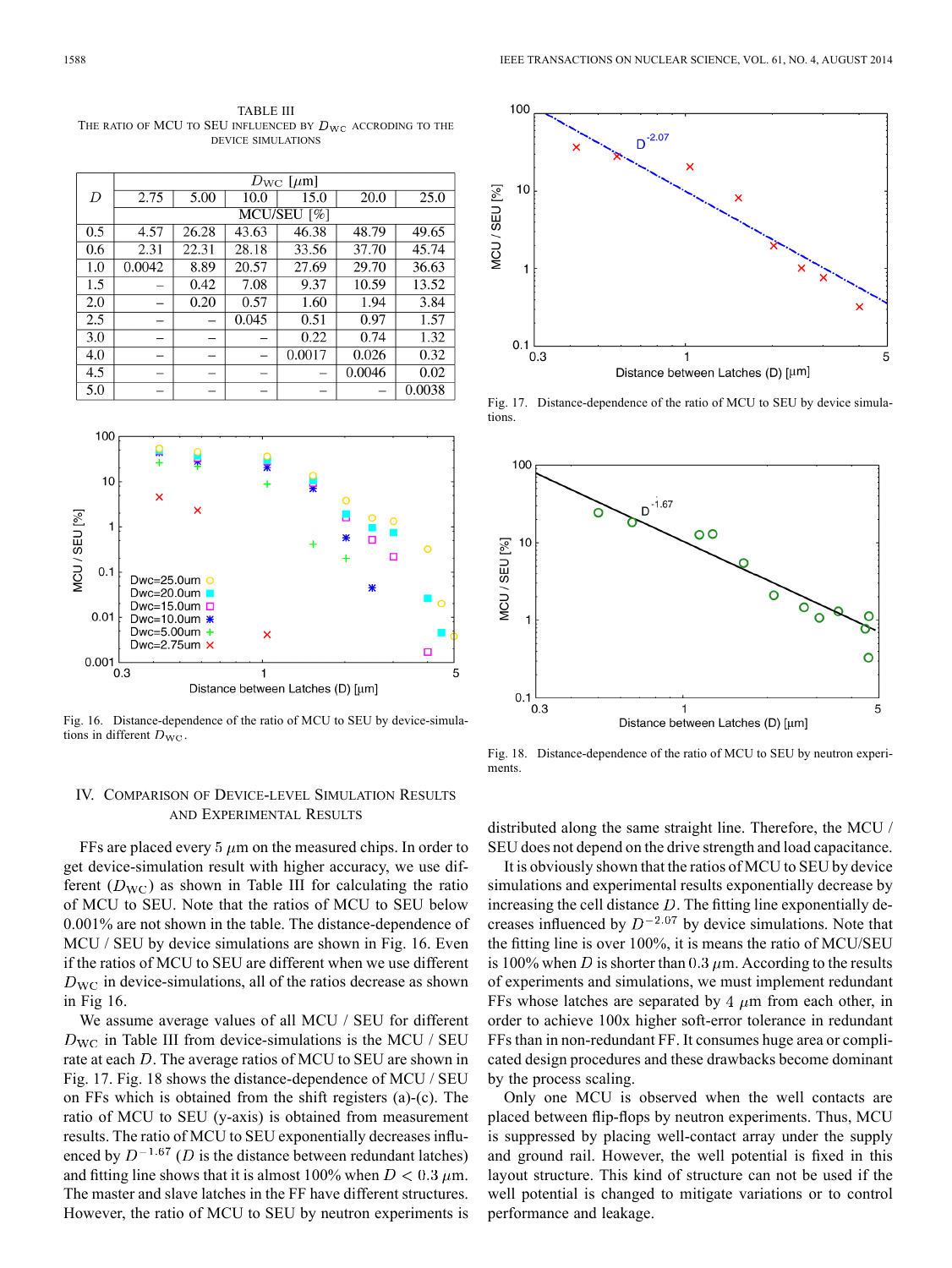TABLE III THE RATIO OF MCU TO SEU INFLUENCED BY  $D_{\rm WC}$  accroding to the DEVICE SIMULATIONS

|     | $D_{\text{WC}}$ [ $\mu$ m] |       |       |        |        |        |  |  |
|-----|----------------------------|-------|-------|--------|--------|--------|--|--|
| D   | 2.75                       | 5.00  | 10.0  | 15.0   | 20.0   | 25.0   |  |  |
|     | MCU/SEU [%]                |       |       |        |        |        |  |  |
| 0.5 | 4.57                       | 26.28 | 43.63 | 46.38  | 48.79  | 49.65  |  |  |
| 0.6 | 2.31                       | 22.31 | 28.18 | 33.56  | 37.70  | 45.74  |  |  |
| 1.0 | 0.0042                     | 8.89  | 20.57 | 27.69  | 29.70  | 36.63  |  |  |
| 1.5 |                            | 0.42  | 7.08  | 9.37   | 10.59  | 13.52  |  |  |
| 2.0 |                            | 0.20  | 0.57  | 1.60   | 1.94   | 3.84   |  |  |
| 2.5 |                            |       | 0.045 | 0.51   | 0.97   | 1.57   |  |  |
| 3.0 |                            |       |       | 0.22   | 0.74   | 1.32   |  |  |
| 4.0 |                            |       |       | 0.0017 | 0.026  | 0.32   |  |  |
| 4.5 |                            |       |       |        | 0.0046 | 0.02   |  |  |
| 5.0 |                            |       |       |        |        | 0.0038 |  |  |



Fig. 16. Distance-dependence of the ratio of MCU to SEU by device-simulations in different  $D_{\text{WC}}$ .

# IV. COMPARISON OF DEVICE-LEVEL SIMULATION RESULTS AND EXPERIMENTAL RESULTS

FFs are placed every 5  $\mu$ m on the measured chips. In order to get device-simulation result with higher accuracy, we use different  $(D_{\text{WC}})$  as shown in Table III for calculating the ratio of MCU to SEU. Note that the ratios of MCU to SEU below 0.001% are not shown in the table. The distance-dependence of MCU / SEU by device simulations are shown in Fig. 16. Even if the ratios of MCU to SEU are different when we use different  $D_{\text{WC}}$  in device-simulations, all of the ratios decrease as shown in Fig 16.

We assume average values of all MCU / SEU for different  $D_{\text{WC}}$  in Table III from device-simulations is the MCU / SEU rate at each  $D$ . The average ratios of MCU to SEU are shown in Fig. 17. Fig. 18 shows the distance-dependence of MCU / SEU on FFs which is obtained from the shift registers (a)-(c). The ratio of MCU to SEU (y-axis) is obtained from measurement results. The ratio of MCU to SEU exponentially decreases influenced by  $D^{-1.67}$  (D is the distance between redundant latches) and fitting line shows that it is almost 100% when  $D < 0.3 \mu$ m. The master and slave latches in the FF have different structures. However, the ratio of MCU to SEU by neutron experiments is



Fig. 17. Distance-dependence of the ratio of MCU to SEU by device simulations



Fig. 18. Distance-dependence of the ratio of MCU to SEU by neutron experiments.

distributed along the same straight line. Therefore, the MCU / SEU does not depend on the drive strength and load capacitance.

It is obviously shown that the ratios of MCU to SEU by device simulations and experimental results exponentially decrease by increasing the cell distance  $D$ . The fitting line exponentially decreases influenced by  $D^{-2.07}$  by device simulations. Note that the fitting line is over 100%, it is means the ratio of MCU/SEU is 100% when D is shorter than 0.3  $\mu$ m. According to the results of experiments and simulations, we must implement redundant FFs whose latches are separated by 4  $\mu$ m from each other, in order to achieve 100x higher soft-error tolerance in redundant FFs than in non-redundant FF. It consumes huge area or complicated design procedures and these drawbacks become dominant by the process scaling.

Only one MCU is observed when the well contacts are placed between flip-flops by neutron experiments. Thus, MCU is suppressed by placing well-contact array under the supply and ground rail. However, the well potential is fixed in this layout structure. This kind of structure can not be used if the well potential is changed to mitigate variations or to control performance and leakage.